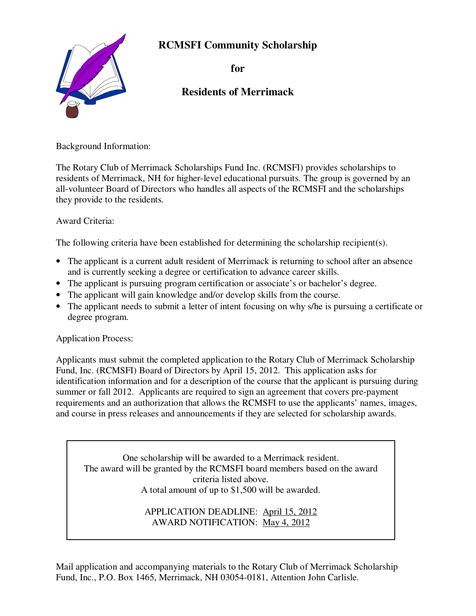## **RCMSFI Community Scholarship**



**for** 

## **Residents of Merrimack**

Background Information:

The Rotary Club of Merrimack Scholarships Fund Inc. (RCMSFI) provides scholarships to residents of Merrimack, NH for higher-level educational pursuits. The group is governed by an all-volunteer Board of Directors who handles all aspects of the RCMSFI and the scholarships they provide to the residents.

Award Criteria:

The following criteria have been established for determining the scholarship recipient(s).

- The applicant is a current adult resident of Merrimack is returning to school after an absence and is currently seeking a degree or certification to advance career skills.
- The applicant is pursuing program certification or associate's or bachelor's degree.
- The applicant will gain knowledge and/or develop skills from the course.
- The applicant needs to submit a letter of intent focusing on why s/he is pursuing a certificate or degree program.

Application Process:

Applicants must submit the completed application to the Rotary Club of Merrimack Scholarship Fund, Inc. (RCMSFI) Board of Directors by April 15, 2012. This application asks for identification information and for a description of the course that the applicant is pursuing during summer or fall 2012. Applicants are required to sign an agreement that covers pre-payment requirements and an authorization that allows the RCMSFI to use the applicants' names, images, and course in press releases and announcements if they are selected for scholarship awards.

One scholarship will be awarded to a Merrimack resident. The award will be granted by the RCMSFI board members based on the award criteria listed above. A total amount of up to \$1,500 will be awarded.

> APPLICATION DEADLINE: April 15, 2012 AWARD NOTIFICATION: May 4, 2012

Mail application and accompanying materials to the Rotary Club of Merrimack Scholarship Fund, Inc., P.O. Box 1465, Merrimack, NH 03054-0181, Attention John Carlisle.